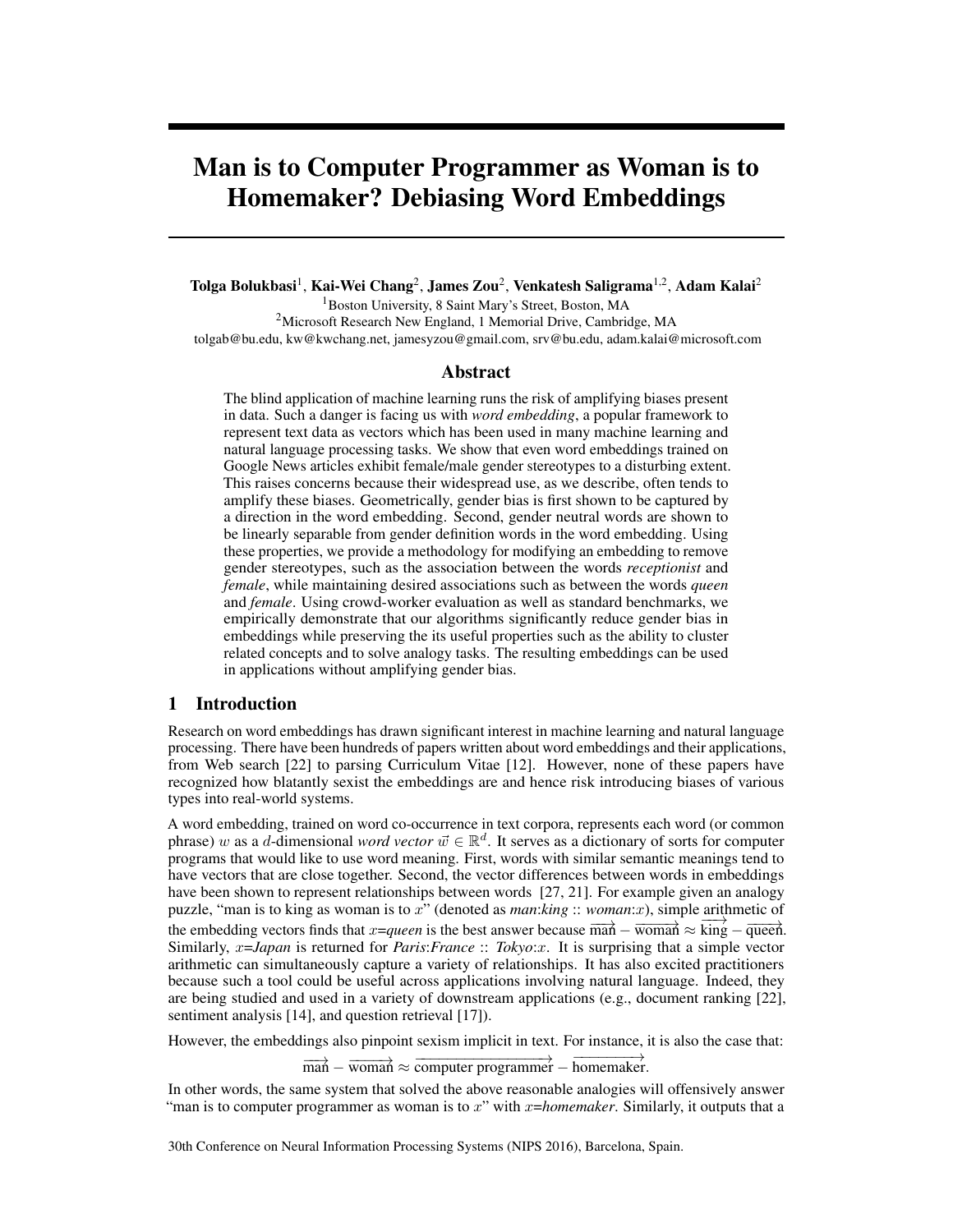# Man is to Computer Programmer as Woman is to Homemaker? Debiasing Word Embeddings

Tolga Bolukbasi<sup>1</sup>, Kai-Wei Chang<sup>2</sup>, James Zou<sup>2</sup>, Venkatesh Saligrama<sup>1,2</sup>, Adam Kalai<sup>2</sup> <sup>1</sup>Boston University, 8 Saint Mary's Street, Boston, MA <sup>2</sup>Microsoft Research New England, 1 Memorial Drive, Cambridge, MA tolgab@bu.edu, kw@kwchang.net, jamesyzou@gmail.com, srv@bu.edu, adam.kalai@microsoft.com

#### Abstract

The blind application of machine learning runs the risk of amplifying biases present in data. Such a danger is facing us with *word embedding*, a popular framework to represent text data as vectors which has been used in many machine learning and natural language processing tasks. We show that even word embeddings trained on Google News articles exhibit female/male gender stereotypes to a disturbing extent. This raises concerns because their widespread use, as we describe, often tends to amplify these biases. Geometrically, gender bias is first shown to be captured by a direction in the word embedding. Second, gender neutral words are shown to be linearly separable from gender definition words in the word embedding. Using these properties, we provide a methodology for modifying an embedding to remove gender stereotypes, such as the association between the words *receptionist* and *female*, while maintaining desired associations such as between the words *queen* and *female*. Using crowd-worker evaluation as well as standard benchmarks, we empirically demonstrate that our algorithms significantly reduce gender bias in embeddings while preserving the its useful properties such as the ability to cluster related concepts and to solve analogy tasks. The resulting embeddings can be used in applications without amplifying gender bias.

### 1 Introduction

Research on word embeddings has drawn significant interest in machine learning and natural language processing. There have been hundreds of papers written about word embeddings and their applications, from Web search [22] to parsing Curriculum Vitae [12]. However, none of these papers have recognized how blatantly sexist the embeddings are and hence risk introducing biases of various types into real-world systems.

A word embedding, trained on word co-occurrence in text corpora, represents each word (or common phrase) *w* as a *d*-dimensional *word vector*  $\vec{w} \in \mathbb{R}^d$ . It serves as a dictionary of sorts for computer programs that would like to use word meaning. First, words with similar semantic meanings tend to have vectors that are close together. Second, the vector differences between words in embeddings have been shown to represent relationships between words [27, 21]. For example given an analogy puzzle, "man is to king as woman is to *x*" (denoted as *man*:*king* :: *woman*:*x*), simple arithmetic of the embedding vectors finds that *x*=*queen* is the best answer because  $\overrightarrow{man} - \overrightarrow{woman} \approx \overrightarrow{king} - \overrightarrow{queen}$ . Similarly, *x*=*Japan* is returned for *Paris*:*France* :: *Tokyo*:*x*. It is surprising that a simple vector arithmetic can simultaneously capture a variety of relationships. It has also excited practitioners because such a tool could be useful across applications involving natural language. Indeed, they are being studied and used in a variety of downstream applications (e.g., document ranking [22], sentiment analysis [14], and question retrieval [17]).

However, the embeddings also pinpoint sexism implicit in text. For instance, it is also the case that:

 $\overrightarrow{man} - \overrightarrow{woman} \approx \overrightarrow{computer programmer} - \overrightarrow{homemaker.}$ 

In other words, the same system that solved the above reasonable analogies will offensively answer "man is to computer programmer as woman is to *x*" with *x*=*homemaker*. Similarly, it outputs that a

30th Conference on Neural Information Processing Systems (NIPS 2016), Barcelona, Spain.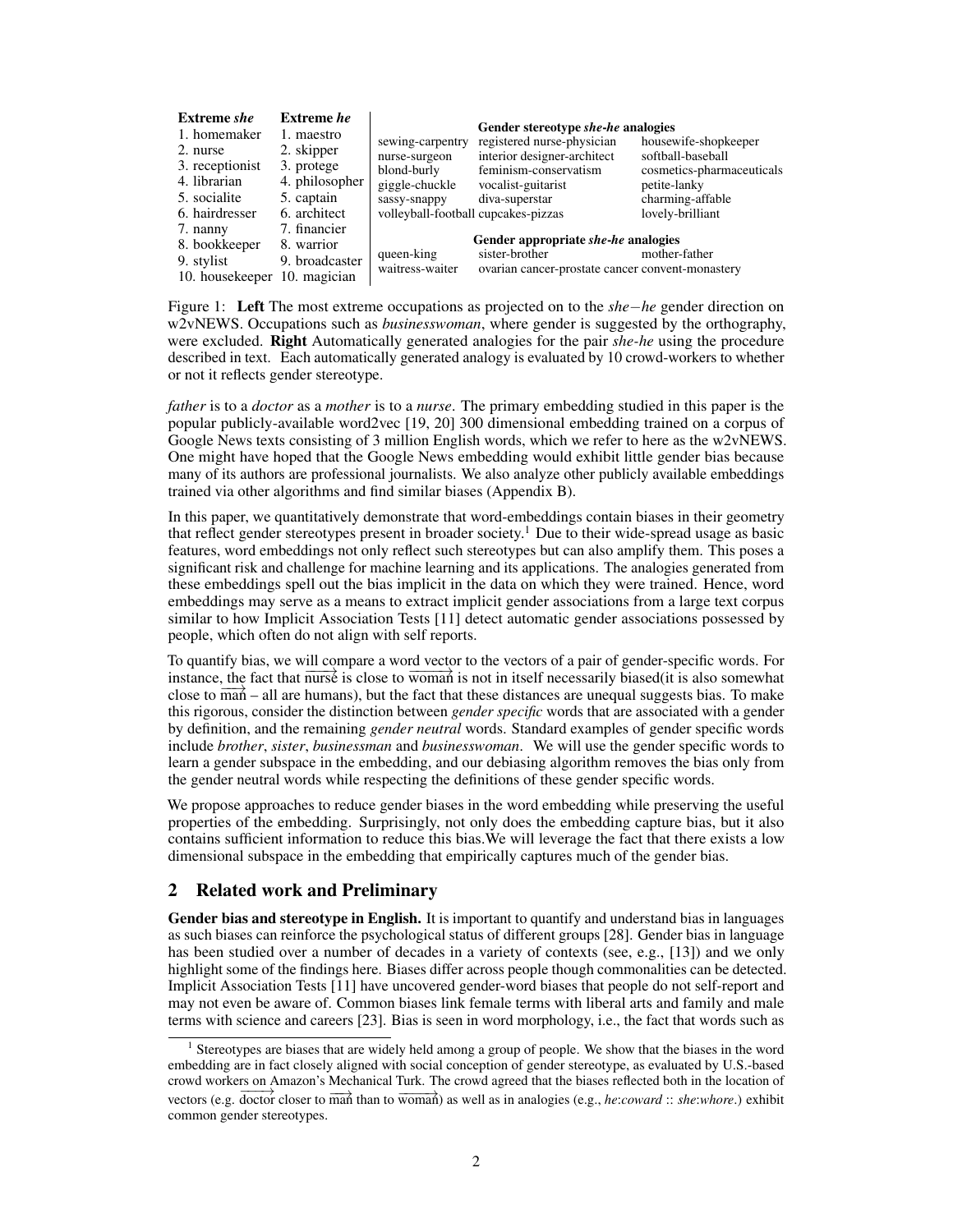| <b>Extreme</b> she                                                                            | Extreme <i>he</i>                                                                      |                                                                                                                           | Gender stereotype she-he analogies                                                                                         |                                                                                                                                |
|-----------------------------------------------------------------------------------------------|----------------------------------------------------------------------------------------|---------------------------------------------------------------------------------------------------------------------------|----------------------------------------------------------------------------------------------------------------------------|--------------------------------------------------------------------------------------------------------------------------------|
| 1. homemaker<br>2. nurse<br>3. receptionist<br>4. librarian<br>5. socialite<br>6. hairdresser | 1. maestro<br>2. skipper<br>3. protege<br>4. philosopher<br>5. captain<br>6. architect | sewing-carpentry<br>nurse-surgeon<br>blond-burly<br>giggle-chuckle<br>sassy-snappy<br>volleyball-football cupcakes-pizzas | registered nurse-physician<br>interior designer-architect<br>feminism-conservatism<br>vocalist-guitarist<br>diva-superstar | housewife-shopkeeper<br>softball-baseball<br>cosmetics-pharmaceuticals<br>petite-lanky<br>charming-affable<br>lovely-brilliant |
| 7. nanny<br>8. bookkeeper<br>9. stylist<br>10. housekeeper                                    | 7. financier<br>8. warrior<br>9. broadcaster<br>10. magician                           | queen-king<br>waitress-waiter                                                                                             | Gender appropriate she-he analogies<br>sister-brother<br>ovarian cancer-prostate cancer convent-monastery                  | mother-father                                                                                                                  |

Figure 1: Left The most extreme occupations as projected on to the *shehe* gender direction on w2vNEWS. Occupations such as *businesswoman*, where gender is suggested by the orthography, were excluded. Right Automatically generated analogies for the pair *she-he* using the procedure described in text. Each automatically generated analogy is evaluated by 10 crowd-workers to whether or not it reflects gender stereotype.

*father* is to a *doctor* as a *mother* is to a *nurse*. The primary embedding studied in this paper is the popular publicly-available word2vec [19, 20] 300 dimensional embedding trained on a corpus of Google News texts consisting of 3 million English words, which we refer to here as the w2vNEWS. One might have hoped that the Google News embedding would exhibit little gender bias because many of its authors are professional journalists. We also analyze other publicly available embeddings trained via other algorithms and find similar biases (Appendix B).

In this paper, we quantitatively demonstrate that word-embeddings contain biases in their geometry that reflect gender stereotypes present in broader society.<sup>1</sup> Due to their wide-spread usage as basic features, word embeddings not only reflect such stereotypes but can also amplify them. This poses a significant risk and challenge for machine learning and its applications. The analogies generated from these embeddings spell out the bias implicit in the data on which they were trained. Hence, word embeddings may serve as a means to extract implicit gender associations from a large text corpus similar to how Implicit Association Tests [11] detect automatic gender associations possessed by people, which often do not align with self reports.

To quantify bias, we will compare a word vector to the vectors of a pair of gender-specific words. For instance, the fact that  $\overline{nurs}$  is close to  $\overline{woman}$  is not in itself necessarily biased(it is also somewhat close to  $\overline{ma}$  – all are humans), but the fact that these distances are unequal suggests bias. To make this rigorous, consider the distinction between *gender specific* words that are associated with a gender by definition, and the remaining *gender neutral* words. Standard examples of gender specific words include *brother*, *sister*, *businessman* and *businesswoman*. We will use the gender specific words to learn a gender subspace in the embedding, and our debiasing algorithm removes the bias only from the gender neutral words while respecting the definitions of these gender specific words.

We propose approaches to reduce gender biases in the word embedding while preserving the useful properties of the embedding. Surprisingly, not only does the embedding capture bias, but it also contains sufficient information to reduce this bias.We will leverage the fact that there exists a low dimensional subspace in the embedding that empirically captures much of the gender bias.

# 2 Related work and Preliminary

Gender bias and stereotype in English. It is important to quantify and understand bias in languages as such biases can reinforce the psychological status of different groups [28]. Gender bias in language has been studied over a number of decades in a variety of contexts (see, e.g., [13]) and we only highlight some of the findings here. Biases differ across people though commonalities can be detected. Implicit Association Tests [11] have uncovered gender-word biases that people do not self-report and may not even be aware of. Common biases link female terms with liberal arts and family and male terms with science and careers [23]. Bias is seen in word morphology, i.e., the fact that words such as

<sup>&</sup>lt;sup>1</sup> Stereotypes are biases that are widely held among a group of people. We show that the biases in the word embedding are in fact closely aligned with social conception of gender stereotype, as evaluated by U.S.-based crowd workers on Amazon's Mechanical Turk. The crowd agreed that the biases reflected both in the location of vectors (e.g.  $\frac{d}{dx}$  doctor closer to  $\frac{d}{dx}$  than to  $\frac{d}{dx}$  is well as in analogies (e.g., *he:coward* :: *she:whore*.) exhibit common gender stereotypes.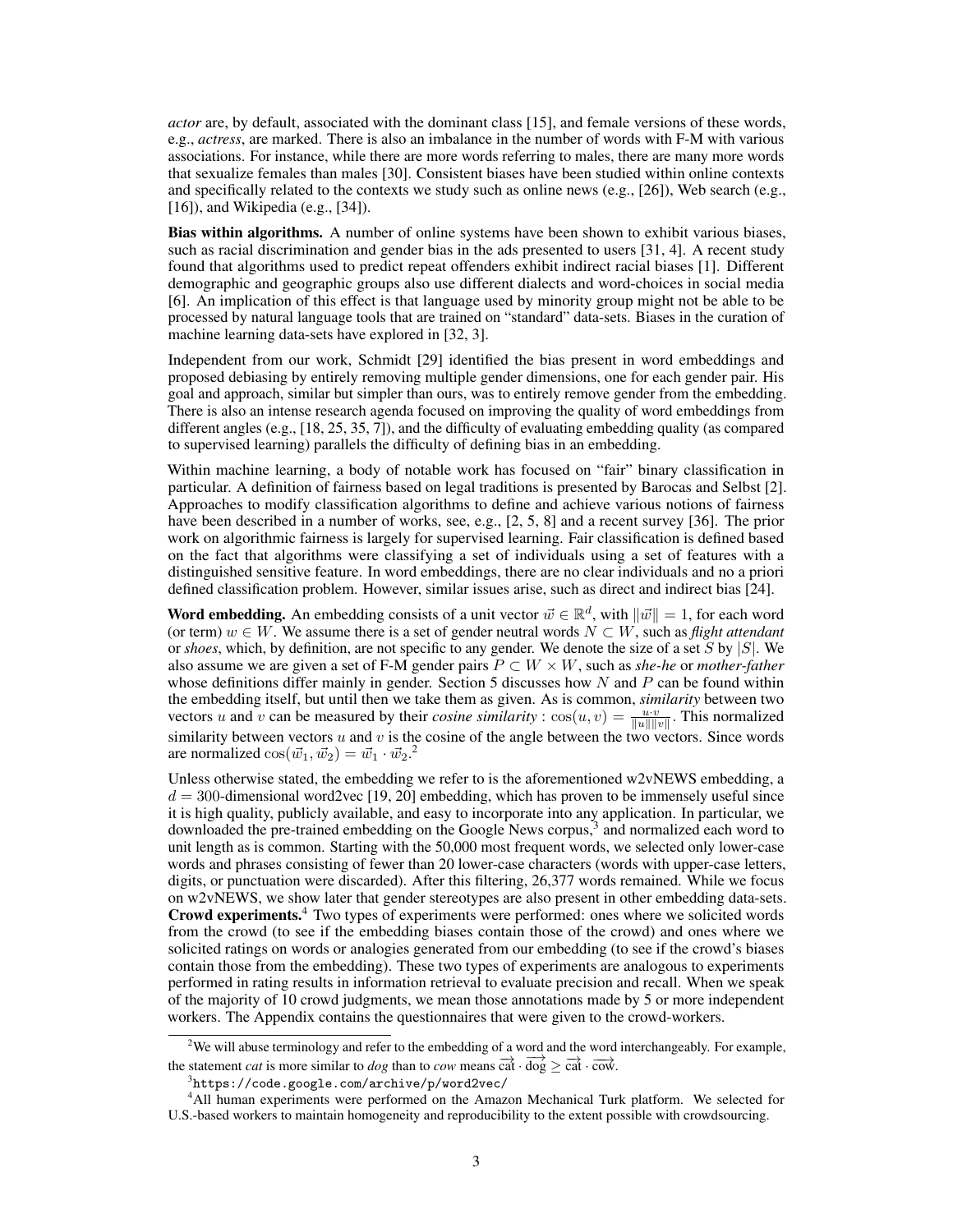*actor* are, by default, associated with the dominant class [15], and female versions of these words, e.g., *actress*, are marked. There is also an imbalance in the number of words with F-M with various associations. For instance, while there are more words referring to males, there are many more words that sexualize females than males [30]. Consistent biases have been studied within online contexts and specifically related to the contexts we study such as online news (e.g.,  $[26]$ ), Web search (e.g., [16]), and Wikipedia (e.g., [34]).

Bias within algorithms. A number of online systems have been shown to exhibit various biases, such as racial discrimination and gender bias in the ads presented to users [31, 4]. A recent study found that algorithms used to predict repeat offenders exhibit indirect racial biases [1]. Different demographic and geographic groups also use different dialects and word-choices in social media [6]. An implication of this effect is that language used by minority group might not be able to be processed by natural language tools that are trained on "standard" data-sets. Biases in the curation of machine learning data-sets have explored in [32, 3].

Independent from our work, Schmidt [29] identified the bias present in word embeddings and proposed debiasing by entirely removing multiple gender dimensions, one for each gender pair. His goal and approach, similar but simpler than ours, was to entirely remove gender from the embedding. There is also an intense research agenda focused on improving the quality of word embeddings from different angles (e.g., [18, 25, 35, 7]), and the difficulty of evaluating embedding quality (as compared to supervised learning) parallels the difficulty of defining bias in an embedding.

Within machine learning, a body of notable work has focused on "fair" binary classification in particular. A definition of fairness based on legal traditions is presented by Barocas and Selbst [2]. Approaches to modify classification algorithms to define and achieve various notions of fairness have been described in a number of works, see, e.g., [2, 5, 8] and a recent survey [36]. The prior work on algorithmic fairness is largely for supervised learning. Fair classification is defined based on the fact that algorithms were classifying a set of individuals using a set of features with a distinguished sensitive feature. In word embeddings, there are no clear individuals and no a priori defined classification problem. However, similar issues arise, such as direct and indirect bias [24].

Word embedding. An embedding consists of a unit vector  $\vec{w} \in \mathbb{R}^d$ , with  $\|\vec{w}\| = 1$ , for each word (or term)  $w \in W$ . We assume there is a set of gender neutral words  $N \subset W$ , such as *flight attendant* or *shoes*, which, by definition, are not specific to any gender. We denote the size of a set *S* by *|S|*. We also assume we are given a set of F-M gender pairs  $P \subset W \times W$ , such as *she-he* or *mother-father* whose definitions differ mainly in gender. Section 5 discusses how *N* and *P* can be found within the embedding itself, but until then we take them as given. As is common, *similarity* between two vectors *u* and *v* can be measured by their *cosine similarity* :  $cos(u, v) = \frac{uv}{\|u\| \|v\|}$ . This normalized similarity between vectors *u* and *v* is the cosine of the angle between the two vectors. Since words are normalized  $\cos(\vec{w_1}, \vec{w_2}) = \vec{w_1} \cdot \vec{w_2}$ .<sup>2</sup>

Unless otherwise stated, the embedding we refer to is the aforementioned w2vNEWS embedding, a  $d = 300$ -dimensional word2vec [19, 20] embedding, which has proven to be immensely useful since it is high quality, publicly available, and easy to incorporate into any application. In particular, we downloaded the pre-trained embedding on the Google News corpus,<sup>3</sup> and normalized each word to unit length as is common. Starting with the 50,000 most frequent words, we selected only lower-case words and phrases consisting of fewer than 20 lower-case characters (words with upper-case letters, digits, or punctuation were discarded). After this filtering, 26,377 words remained. While we focus on w2vNEWS, we show later that gender stereotypes are also present in other embedding data-sets. Crowd experiments.<sup>4</sup> Two types of experiments were performed: ones where we solicited words from the crowd (to see if the embedding biases contain those of the crowd) and ones where we solicited ratings on words or analogies generated from our embedding (to see if the crowd's biases contain those from the embedding). These two types of experiments are analogous to experiments performed in rating results in information retrieval to evaluate precision and recall. When we speak of the majority of 10 crowd judgments, we mean those annotations made by 5 or more independent workers. The Appendix contains the questionnaires that were given to the crowd-workers.

 $2$ We will abuse terminology and refer to the embedding of a word and the word interchangeably. For example, the statement *cat* is more similar to *dog* than to *cow* means  $\overrightarrow{cat} \cdot \overrightarrow{dog} \geq \overrightarrow{cat} \cdot \overrightarrow{cov}$ .<br><sup>3</sup> https://code.google.com/archive/p/vord2yee/

https://code.google.com/archive/p/word2vec/

<sup>4</sup> All human experiments were performed on the Amazon Mechanical Turk platform. We selected for U.S.-based workers to maintain homogeneity and reproducibility to the extent possible with crowdsourcing.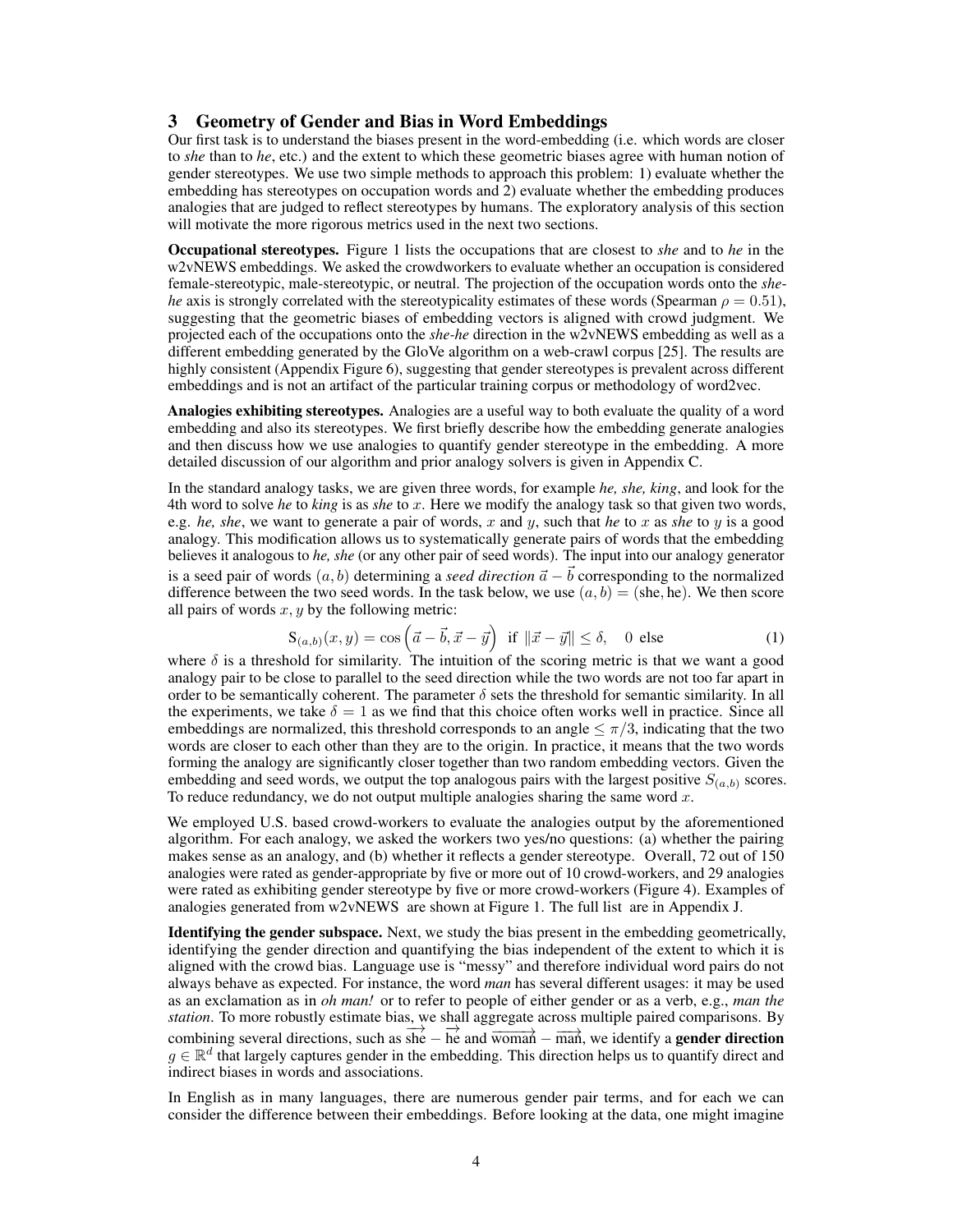#### 3 Geometry of Gender and Bias in Word Embeddings

Our first task is to understand the biases present in the word-embedding (i.e. which words are closer to *she* than to *he*, etc.) and the extent to which these geometric biases agree with human notion of gender stereotypes. We use two simple methods to approach this problem: 1) evaluate whether the embedding has stereotypes on occupation words and 2) evaluate whether the embedding produces analogies that are judged to reflect stereotypes by humans. The exploratory analysis of this section will motivate the more rigorous metrics used in the next two sections.

Occupational stereotypes. Figure 1 lists the occupations that are closest to *she* and to *he* in the w2vNEWS embeddings. We asked the crowdworkers to evaluate whether an occupation is considered female-stereotypic, male-stereotypic, or neutral. The projection of the occupation words onto the *shehe* axis is strongly correlated with the stereotypicality estimates of these words (Spearman  $\rho = 0.51$ ), suggesting that the geometric biases of embedding vectors is aligned with crowd judgment. We projected each of the occupations onto the *she-he* direction in the w2vNEWS embedding as well as a different embedding generated by the GloVe algorithm on a web-crawl corpus [25]. The results are highly consistent (Appendix Figure 6), suggesting that gender stereotypes is prevalent across different embeddings and is not an artifact of the particular training corpus or methodology of word2vec.

Analogies exhibiting stereotypes. Analogies are a useful way to both evaluate the quality of a word embedding and also its stereotypes. We first briefly describe how the embedding generate analogies and then discuss how we use analogies to quantify gender stereotype in the embedding. A more detailed discussion of our algorithm and prior analogy solvers is given in Appendix C.

In the standard analogy tasks, we are given three words, for example *he, she, king*, and look for the 4th word to solve *he* to *king* is as *she* to *x*. Here we modify the analogy task so that given two words, e.g. *he, she*, we want to generate a pair of words, *x* and *y*, such that *he* to *x* as *she* to *y* is a good analogy. This modification allows us to systematically generate pairs of words that the embedding believes it analogous to *he, she* (or any other pair of seed words). The input into our analogy generator is a seed pair of words  $(a, b)$  determining a *seed direction*  $\vec{a} - \vec{b}$  corresponding to the normalized difference between the two seed words. In the task below, we use  $(a, b) =$  (she, he). We then score all pairs of words *x, y* by the following metric:

$$
\mathbf{S}_{(a,b)}(x,y) = \cos\left(\vec{a} - \vec{b}, \vec{x} - \vec{y}\right) \text{ if } \|\vec{x} - \vec{y}\| \le \delta, \quad 0 \text{ else } \tag{1}
$$

where  $\delta$  is a threshold for similarity. The intuition of the scoring metric is that we want a good analogy pair to be close to parallel to the seed direction while the two words are not too far apart in order to be semantically coherent. The parameter  $\delta$  sets the threshold for semantic similarity. In all the experiments, we take  $\delta = 1$  as we find that this choice often works well in practice. Since all embeddings are normalized, this threshold corresponds to an angle  $\leq \pi/3$ , indicating that the two words are closer to each other than they are to the origin. In practice, it means that the two words forming the analogy are significantly closer together than two random embedding vectors. Given the embedding and seed words, we output the top analogous pairs with the largest positive  $S_{(a,b)}$  scores. To reduce redundancy, we do not output multiple analogies sharing the same word *x*.

We employed U.S. based crowd-workers to evaluate the analogies output by the aforementioned algorithm. For each analogy, we asked the workers two yes/no questions: (a) whether the pairing makes sense as an analogy, and (b) whether it reflects a gender stereotype. Overall, 72 out of 150 analogies were rated as gender-appropriate by five or more out of 10 crowd-workers, and 29 analogies were rated as exhibiting gender stereotype by five or more crowd-workers (Figure 4). Examples of analogies generated from w2vNEWS are shown at Figure 1. The full list are in Appendix J.

Identifying the gender subspace. Next, we study the bias present in the embedding geometrically, identifying the gender direction and quantifying the bias independent of the extent to which it is aligned with the crowd bias. Language use is "messy" and therefore individual word pairs do not always behave as expected. For instance, the word *man* has several different usages: it may be used as an exclamation as in *oh man!* or to refer to people of either gender or as a verb, e.g., *man the station*. To more robustly estimate bias, we shall aggregate across multiple paired comparisons. By combining several directions, such as  $\overrightarrow{she} - \overrightarrow{he}$  and  $\overrightarrow{woman} - \overrightarrow{man}$ , we identify a **gender direction**  $g \in \mathbb{R}^d$  that largely captures gender in the embedding. This direction helps us to quantify direct and indirect biases in words and associations.

In English as in many languages, there are numerous gender pair terms, and for each we can consider the difference between their embeddings. Before looking at the data, one might imagine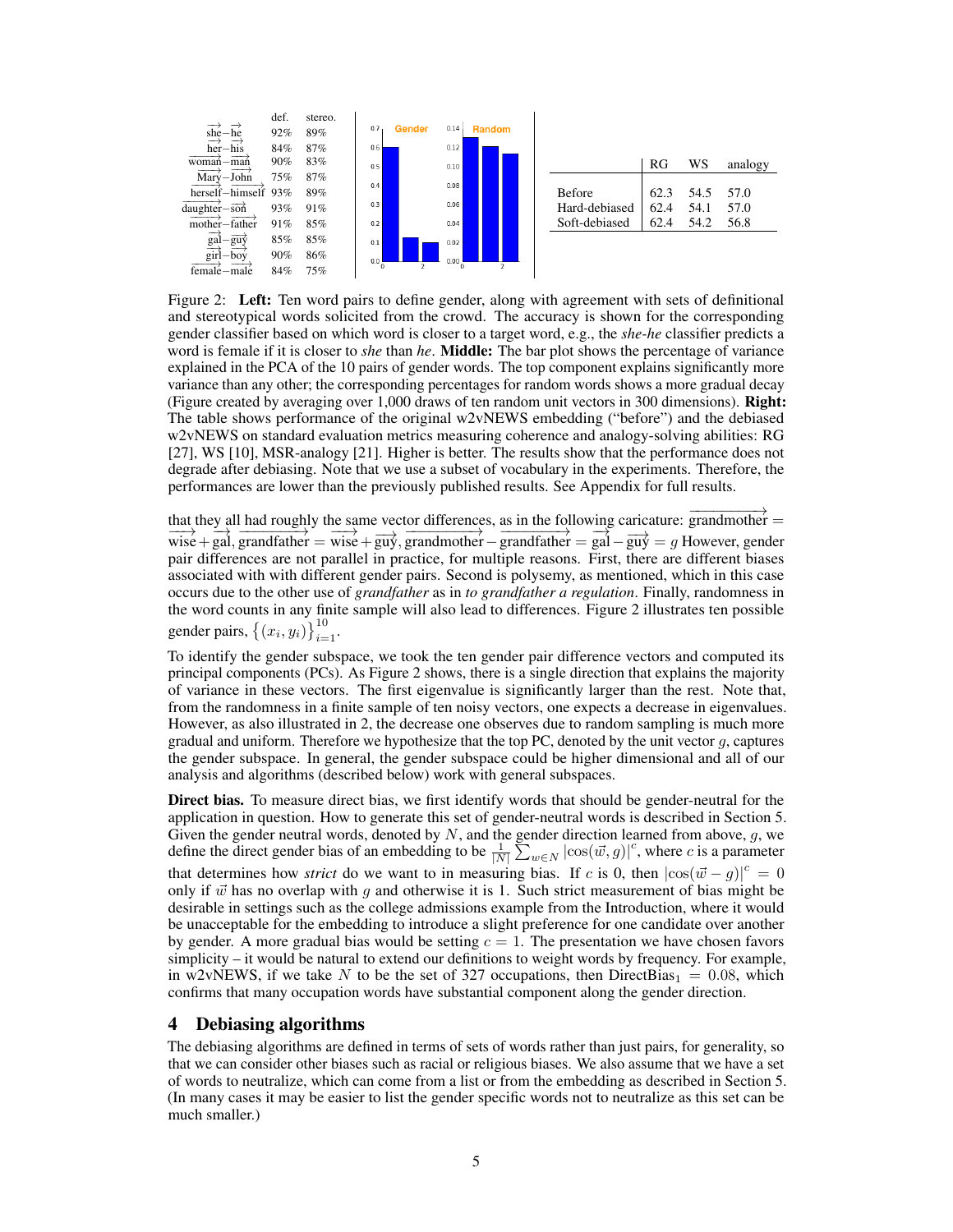

Figure 2: Left: Ten word pairs to define gender, along with agreement with sets of definitional and stereotypical words solicited from the crowd. The accuracy is shown for the corresponding gender classifier based on which word is closer to a target word, e.g., the *she-he* classifier predicts a word is female if it is closer to *she* than *he*. Middle: The bar plot shows the percentage of variance explained in the PCA of the 10 pairs of gender words. The top component explains significantly more variance than any other; the corresponding percentages for random words shows a more gradual decay (Figure created by averaging over 1,000 draws of ten random unit vectors in 300 dimensions). Right: The table shows performance of the original w2vNEWS embedding ("before") and the debiased w2vNEWS on standard evaluation metrics measuring coherence and analogy-solving abilities: RG [27], WS [10], MSR-analogy [21]. Higher is better. The results show that the performance does not degrade after debiasing. Note that we use a subset of vocabulary in the experiments. Therefore, the performances are lower than the previously published results. See Appendix for full results.

that they all had roughly the same vector differences, as in the following caricature:  $\overrightarrow{grandmother} = \overrightarrow{wal}$ ,  $\overrightarrow{grandmother} = \overrightarrow{wig} + \overrightarrow{guy}$ ,  $\overrightarrow{grandmother} = \overrightarrow{grad} - \overrightarrow{guy} = g$  However, gender pair differences are not parallel in practice, for multiple reasons. First, there are different biases associated with with different gender pairs. Second is polysemy, as mentioned, which in this case occurs due to the other use of *grandfather* as in *to grandfather a regulation*. Finally, randomness in the word counts in any finite sample will also lead to differences. Figure 2 illustrates ten possible gender pairs,  $\{(x_i, y_i)\}_{i=1}^{10}$ .

To identify the gender subspace, we took the ten gender pair difference vectors and computed its principal components (PCs). As Figure 2 shows, there is a single direction that explains the majority of variance in these vectors. The first eigenvalue is significantly larger than the rest. Note that, from the randomness in a finite sample of ten noisy vectors, one expects a decrease in eigenvalues. However, as also illustrated in 2, the decrease one observes due to random sampling is much more gradual and uniform. Therefore we hypothesize that the top PC, denoted by the unit vector *g*, captures the gender subspace. In general, the gender subspace could be higher dimensional and all of our analysis and algorithms (described below) work with general subspaces.

Direct bias. To measure direct bias, we first identify words that should be gender-neutral for the application in question. How to generate this set of gender-neutral words is described in Section 5. Given the gender neutral words, denoted by *N*, and the gender direction learned from above, *g*, we define the direct gender bias of an embedding to be  $\frac{1}{|N|} \sum_{w \in N} |\cos(\vec{w}, g)|^c$ , where *c* is a parameter that determines how *strict* do we want to in measuring bias. If *c* is 0, then  $|\cos(\vec{w} - g)|^c = 0$ only if  $\vec{w}$  has no overlap with *g* and otherwise it is 1. Such strict measurement of bias might be desirable in settings such as the college admissions example from the Introduction, where it would be unacceptable for the embedding to introduce a slight preference for one candidate over another by gender. A more gradual bias would be setting  $c = 1$ . The presentation we have chosen favors simplicity – it would be natural to extend our definitions to weight words by frequency. For example, in w2vNEWS, if we take N to be the set of 327 occupations, then DirectBias<sub>1</sub> = 0.08, which confirms that many occupation words have substantial component along the gender direction.

#### 4 Debiasing algorithms

The debiasing algorithms are defined in terms of sets of words rather than just pairs, for generality, so that we can consider other biases such as racial or religious biases. We also assume that we have a set of words to neutralize, which can come from a list or from the embedding as described in Section 5. (In many cases it may be easier to list the gender specific words not to neutralize as this set can be much smaller.)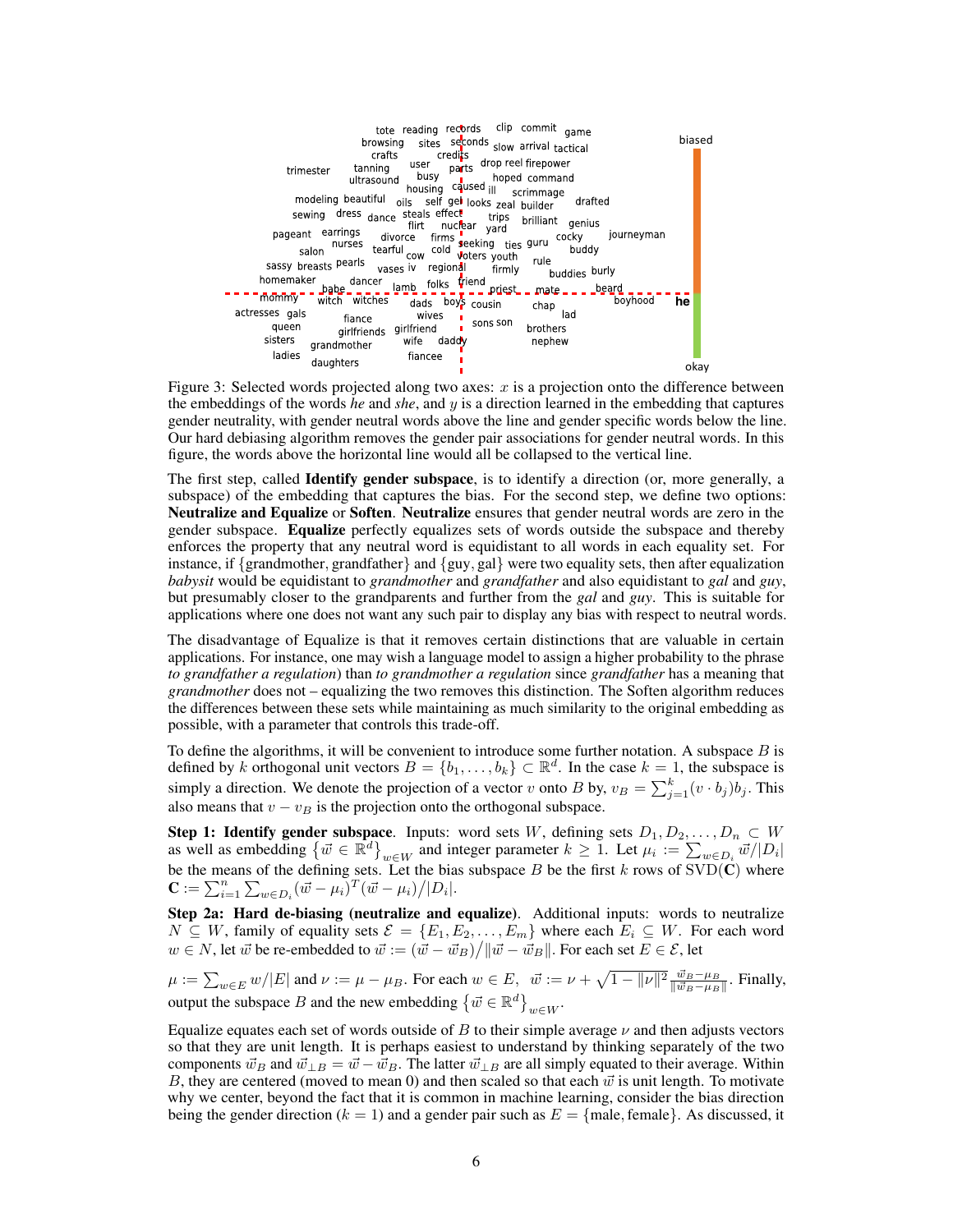

Figure 3: Selected words projected along two axes:  $x$  is a projection onto the difference between the embeddings of the words *he* and *she*, and *y* is a direction learned in the embedding that captures gender neutrality, with gender neutral words above the line and gender specific words below the line. Our hard debiasing algorithm removes the gender pair associations for gender neutral words. In this figure, the words above the horizontal line would all be collapsed to the vertical line.

The first step, called Identify gender subspace, is to identify a direction (or, more generally, a subspace) of the embedding that captures the bias. For the second step, we define two options: Neutralize and Equalize or Soften. Neutralize ensures that gender neutral words are zero in the gender subspace. Equalize perfectly equalizes sets of words outside the subspace and thereby enforces the property that any neutral word is equidistant to all words in each equality set. For instance, if *{*grandmother*,* grandfather*}* and *{*guy*,* gal*}* were two equality sets, then after equalization *babysit* would be equidistant to *grandmother* and *grandfather* and also equidistant to *gal* and *guy*, but presumably closer to the grandparents and further from the *gal* and *guy*. This is suitable for applications where one does not want any such pair to display any bias with respect to neutral words.

The disadvantage of Equalize is that it removes certain distinctions that are valuable in certain applications. For instance, one may wish a language model to assign a higher probability to the phrase *to grandfather a regulation*) than *to grandmother a regulation* since *grandfather* has a meaning that *grandmother* does not – equalizing the two removes this distinction. The Soften algorithm reduces the differences between these sets while maintaining as much similarity to the original embedding as possible, with a parameter that controls this trade-off.

To define the algorithms, it will be convenient to introduce some further notation. A subspace *B* is defined by *k* orthogonal unit vectors  $B = \{b_1, \ldots, b_k\} \subset \mathbb{R}^d$ . In the case  $k = 1$ , the subspace is simply a direction. We denote the projection of a vector *v* onto *B* by,  $v_B = \sum_{j=1}^{k} (v \cdot b_j) b_j$ . This also means that  $v - v_B$  is the projection onto the orthogonal subspace.

**Step 1: Identify gender subspace**. Inputs: word sets W, defining sets  $D_1, D_2, ..., D_n \subset W$ <br>as well as embedding  $\{\vec{w} \in \mathbb{R}^d\}_{w \in W}$  and integer parameter  $k \ge 1$ . Let  $\mu_i := \sum_{w \in D_i} \vec{w}/|D_i|$ be the means of the defining sets. Let the bias subspace  $B$  be the first  $k$  rows of  $SVD(C)$  where  $\mathbf{C} := \sum_{i=1}^{n} \sum_{w \in D_i} (\vec{w} - \mu_i)^T (\vec{w} - \mu_i) / |D_i|$ .

Step 2a: Hard de-biasing (neutralize and equalize). Additional inputs: words to neutralize *N* ⊆ *W*, family of equality sets  $\mathcal{E} = \{E_1, E_2, \ldots, E_m\}$  where each  $E_i$  ⊆ *W*. For each word  $w \in N$ , let *w*<sup>†</sup> be re-embedded to  $\vec{w} := (\vec{w} - \vec{w}_B) / ||\vec{w} - \vec{w}_B||$ . For each set  $E \in \mathcal{E}$ , let

 $\mu := \sum_{w \in E} w/|E|$  and  $\nu := \mu - \mu_B$ . For each  $w \in E$ ,  $\vec{w} := \nu + \sqrt{1 - ||\nu||^2} \frac{\vec{w}_B - \mu_B}{||\vec{w}_B - \mu_B||}$ . Finally, output the subspace *B* and the new embedding  $\{\vec{w} \in \mathbb{R}^d\}_{w \in W}$ .

Equalize equates each set of words outside of  $B$  to their simple average  $\nu$  and then adjusts vectors so that they are unit length. It is perhaps easiest to understand by thinking separately of the two components  $\vec{w}_B$  and  $\vec{w}_{\perp B} = \vec{w} - \vec{w}_B$ . The latter  $\vec{w}_{\perp B}$  are all simply equated to their average. Within *B*, they are centered (moved to mean 0) and then scaled so that each  $\vec{w}$  is unit length. To motivate why we center, beyond the fact that it is common in machine learning, consider the bias direction being the gender direction ( $k = 1$ ) and a gender pair such as  $E = \{male, female\}$ . As discussed, it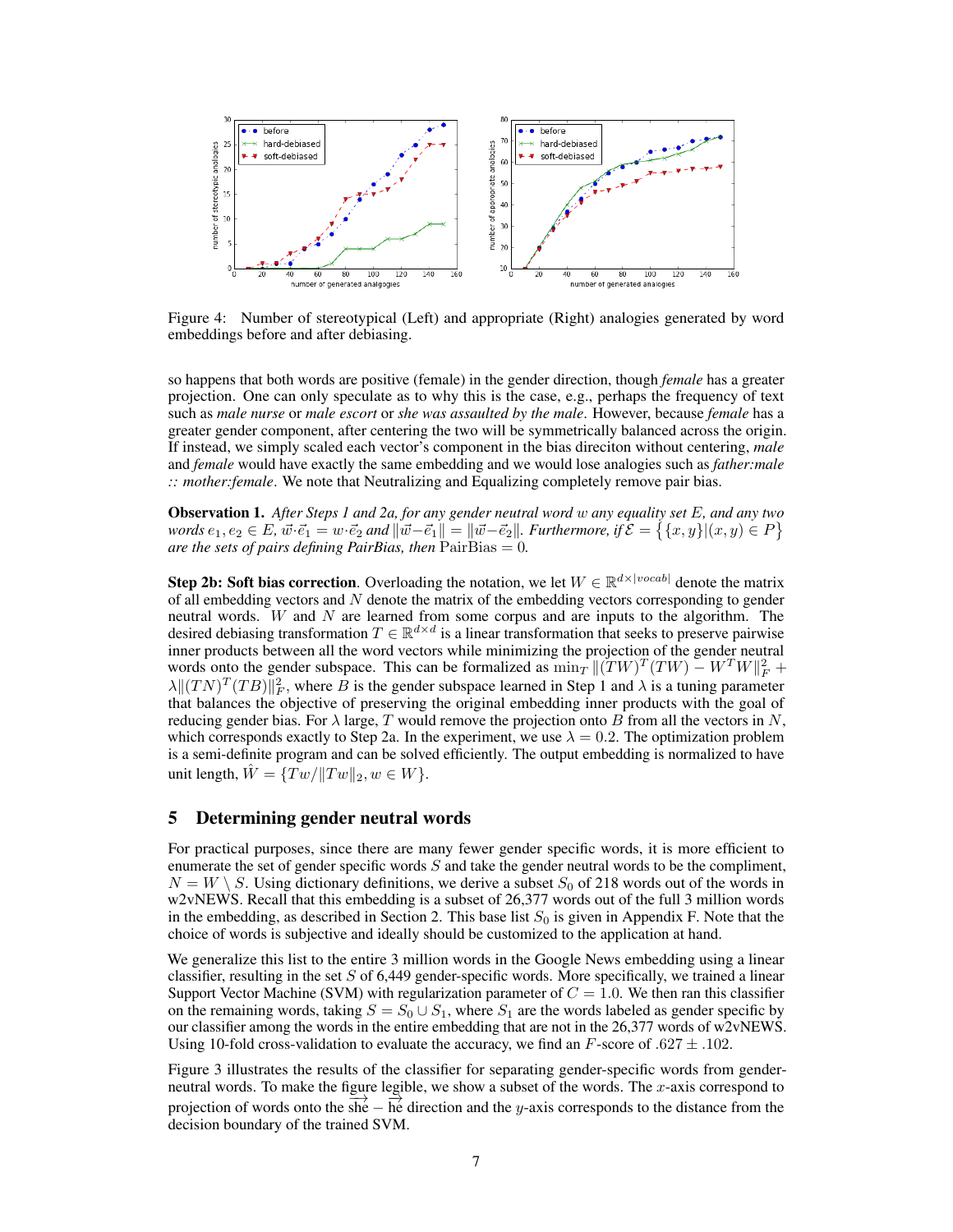

Figure 4: Number of stereotypical (Left) and appropriate (Right) analogies generated by word embeddings before and after debiasing.

so happens that both words are positive (female) in the gender direction, though *female* has a greater projection. One can only speculate as to why this is the case, e.g., perhaps the frequency of text such as *male nurse* or *male escort* or *she was assaulted by the male*. However, because *female* has a greater gender component, after centering the two will be symmetrically balanced across the origin. If instead, we simply scaled each vector's component in the bias direciton without centering, *male* and *female* would have exactly the same embedding and we would lose analogies such as *father:male :: mother:female*. We note that Neutralizing and Equalizing completely remove pair bias.

Observation 1. *After Steps 1 and 2a, for any gender neutral word w any equality set E, and any two* words  $e_1, e_2 \in E$ ,  $\vec{w} \cdot \vec{e_1} = w \cdot \vec{e_2}$  and  $\|\vec{w} - \vec{e_1}\| = \|\vec{w} - \vec{e_2}\|$ . Furthermore, if  $\mathcal{E} = \{ \{x, y\} | (x, y) \in P \}$ *are the sets of pairs defining PairBias, then* PairBias = 0*.*

Step 2b: Soft bias correction. Overloading the notation, we let  $W \in \mathbb{R}^{d \times |vocal|}$  denote the matrix of all embedding vectors and *N* denote the matrix of the embedding vectors corresponding to gender neutral words. *W* and *N* are learned from some corpus and are inputs to the algorithm. The desired debiasing transformation  $T \in \mathbb{R}^{d \times d}$  is a linear transformation that seeks to preserve pairwise inner products between all the word vectors while minimizing the projection of the gender neutral words onto the gender subspace. This can be formalized as  $\min_T ||(TW)^T(TW) - W^TW||_F^2$  +  $\lambda \| (TN)^T (TB) \|_F^2$ , where *B* is the gender subspace learned in Step 1 and  $\lambda$  is a tuning parameter that balances the objective of preserving the original embedding inner products with the goal of reducing gender bias. For  $\lambda$  large, *T* would remove the projection onto *B* from all the vectors in *N*, which corresponds exactly to Step 2a. In the experiment, we use  $\lambda = 0.2$ . The optimization problem is a semi-definite program and can be solved efficiently. The output embedding is normalized to have unit length,  $\hat{W} = \{Tw / ||Tw||_2, w \in W\}.$ 

#### 5 Determining gender neutral words

For practical purposes, since there are many fewer gender specific words, it is more efficient to enumerate the set of gender specific words *S* and take the gender neutral words to be the compliment,  $N = W \setminus S$ . Using dictionary definitions, we derive a subset  $S_0$  of 218 words out of the words in w2vNEWS. Recall that this embedding is a subset of 26,377 words out of the full 3 million words in the embedding, as described in Section 2. This base list  $S_0$  is given in Appendix F. Note that the choice of words is subjective and ideally should be customized to the application at hand.

We generalize this list to the entire 3 million words in the Google News embedding using a linear classifier, resulting in the set *S* of 6,449 gender-specific words. More specifically, we trained a linear Support Vector Machine (SVM) with regularization parameter of  $C = 1.0$ . We then ran this classifier on the remaining words, taking  $S = S_0 \cup S_1$ , where  $S_1$  are the words labeled as gender specific by our classifier among the words in the entire embedding that are not in the 26,377 words of w2vNEWS. Using 10-fold cross-validation to evaluate the accuracy, we find an  $F$ -score of  $.627 \pm .102$ .

Figure 3 illustrates the results of the classifier for separating gender-specific words from genderneutral words. To make the figure legible, we show a subset of the words. The *x*-axis correspond to projection of words onto the  $\sinh(-h)$  he direction and the *y*-axis corresponds to the distance from the decision boundary of the trained SVM.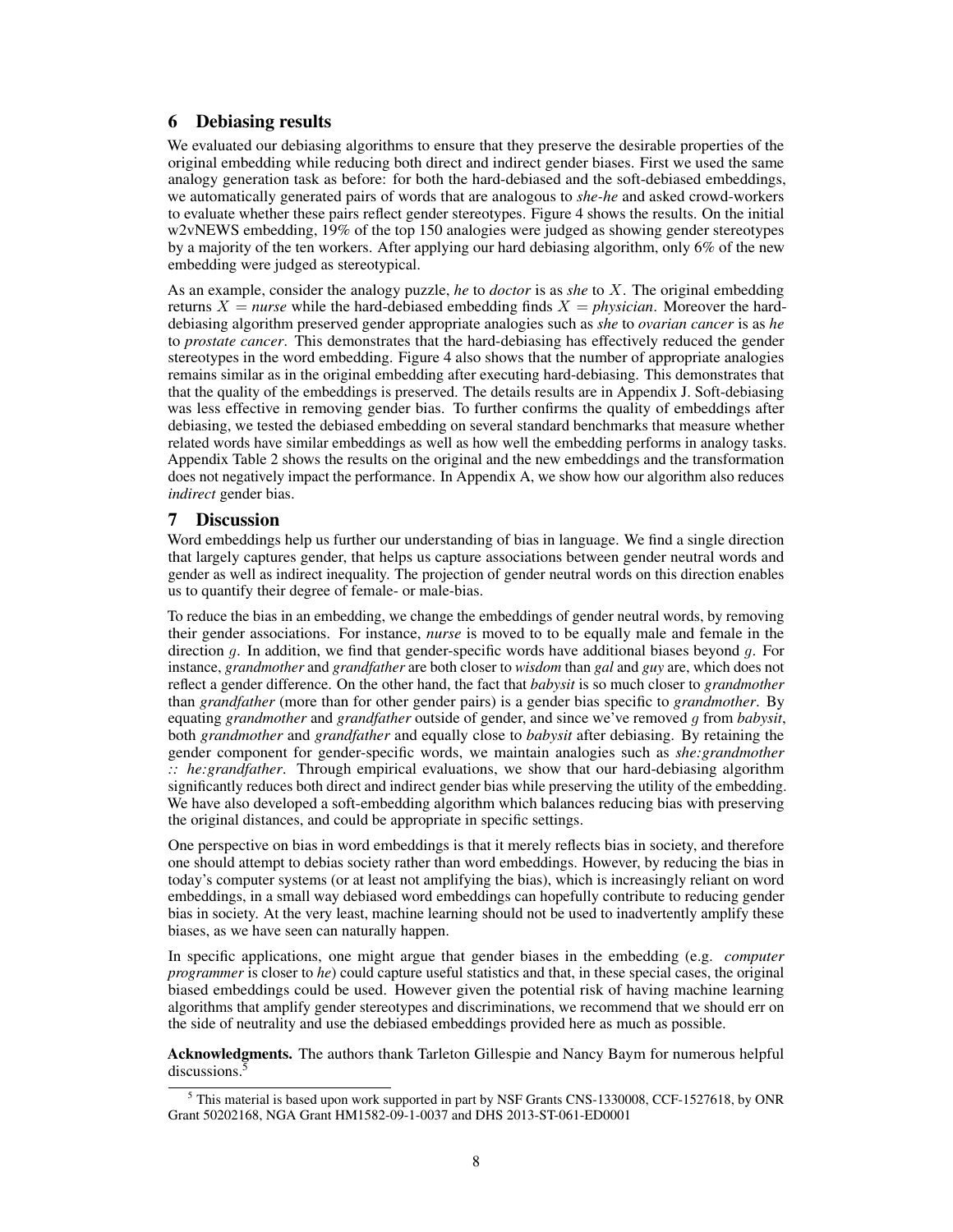## 6 Debiasing results

We evaluated our debiasing algorithms to ensure that they preserve the desirable properties of the original embedding while reducing both direct and indirect gender biases. First we used the same analogy generation task as before: for both the hard-debiased and the soft-debiased embeddings, we automatically generated pairs of words that are analogous to *she-he* and asked crowd-workers to evaluate whether these pairs reflect gender stereotypes. Figure 4 shows the results. On the initial w2vNEWS embedding, 19% of the top 150 analogies were judged as showing gender stereotypes by a majority of the ten workers. After applying our hard debiasing algorithm, only 6% of the new embedding were judged as stereotypical.

As an example, consider the analogy puzzle, *he* to *doctor* is as *she* to *X*. The original embedding returns  $X =$  *nurse* while the hard-debiased embedding finds  $X =$  *physician*. Moreover the harddebiasing algorithm preserved gender appropriate analogies such as *she* to *ovarian cancer* is as *he* to *prostate cancer*. This demonstrates that the hard-debiasing has effectively reduced the gender stereotypes in the word embedding. Figure 4 also shows that the number of appropriate analogies remains similar as in the original embedding after executing hard-debiasing. This demonstrates that that the quality of the embeddings is preserved. The details results are in Appendix J. Soft-debiasing was less effective in removing gender bias. To further confirms the quality of embeddings after debiasing, we tested the debiased embedding on several standard benchmarks that measure whether related words have similar embeddings as well as how well the embedding performs in analogy tasks. Appendix Table 2 shows the results on the original and the new embeddings and the transformation does not negatively impact the performance. In Appendix A, we show how our algorithm also reduces *indirect* gender bias.

#### 7 Discussion

Word embeddings help us further our understanding of bias in language. We find a single direction that largely captures gender, that helps us capture associations between gender neutral words and gender as well as indirect inequality. The projection of gender neutral words on this direction enables us to quantify their degree of female- or male-bias.

To reduce the bias in an embedding, we change the embeddings of gender neutral words, by removing their gender associations. For instance, *nurse* is moved to to be equally male and female in the direction *g*. In addition, we find that gender-specific words have additional biases beyond *g*. For instance, *grandmother* and *grandfather* are both closer to *wisdom* than *gal* and *guy* are, which does not reflect a gender difference. On the other hand, the fact that *babysit* is so much closer to *grandmother* than *grandfather* (more than for other gender pairs) is a gender bias specific to *grandmother*. By equating *grandmother* and *grandfather* outside of gender, and since we've removed *g* from *babysit*, both *grandmother* and *grandfather* and equally close to *babysit* after debiasing. By retaining the gender component for gender-specific words, we maintain analogies such as *she:grandmother :: he:grandfather*. Through empirical evaluations, we show that our hard-debiasing algorithm significantly reduces both direct and indirect gender bias while preserving the utility of the embedding. We have also developed a soft-embedding algorithm which balances reducing bias with preserving the original distances, and could be appropriate in specific settings.

One perspective on bias in word embeddings is that it merely reflects bias in society, and therefore one should attempt to debias society rather than word embeddings. However, by reducing the bias in today's computer systems (or at least not amplifying the bias), which is increasingly reliant on word embeddings, in a small way debiased word embeddings can hopefully contribute to reducing gender bias in society. At the very least, machine learning should not be used to inadvertently amplify these biases, as we have seen can naturally happen.

In specific applications, one might argue that gender biases in the embedding (e.g. *computer programmer* is closer to *he*) could capture useful statistics and that, in these special cases, the original biased embeddings could be used. However given the potential risk of having machine learning algorithms that amplify gender stereotypes and discriminations, we recommend that we should err on the side of neutrality and use the debiased embeddings provided here as much as possible.

Acknowledgments. The authors thank Tarleton Gillespie and Nancy Baym for numerous helpful discussions.<sup>5</sup>

<sup>5</sup> This material is based upon work supported in part by NSF Grants CNS-1330008, CCF-1527618, by ONR Grant 50202168, NGA Grant HM1582-09-1-0037 and DHS 2013-ST-061-ED0001